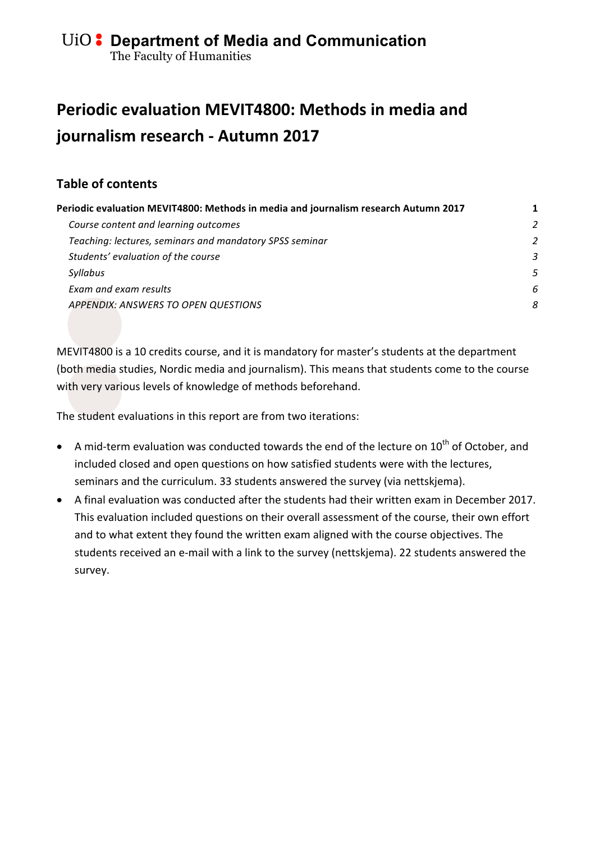The Faculty of Humanities

# **Periodic evaluation MEVIT4800: Methods in media and journalism research - Autumn 2017**

## **Table of contents**

| Periodic evaluation MEVIT4800: Methods in media and journalism research Autumn 2017 |   |
|-------------------------------------------------------------------------------------|---|
| Course content and learning outcomes                                                | 2 |
| Teaching: lectures, seminars and mandatory SPSS seminar                             | 2 |
| Students' evaluation of the course                                                  | 3 |
| Syllabus                                                                            | 5 |
| Exam and exam results                                                               | 6 |
| APPENDIX: ANSWERS TO OPEN QUESTIONS                                                 | 8 |

MEVIT4800 is a 10 credits course, and it is mandatory for master's students at the department (both media studies, Nordic media and journalism). This means that students come to the course with very various levels of knowledge of methods beforehand.

The student evaluations in this report are from two iterations:

- A mid-term evaluation was conducted towards the end of the lecture on  $10^{th}$  of October, and included closed and open questions on how satisfied students were with the lectures, seminars and the curriculum. 33 students answered the survey (via nettskjema).
- A final evaluation was conducted after the students had their written exam in December 2017. This evaluation included questions on their overall assessment of the course, their own effort and to what extent they found the written exam aligned with the course objectives. The students received an e-mail with a link to the survey (nettskjema). 22 students answered the survey.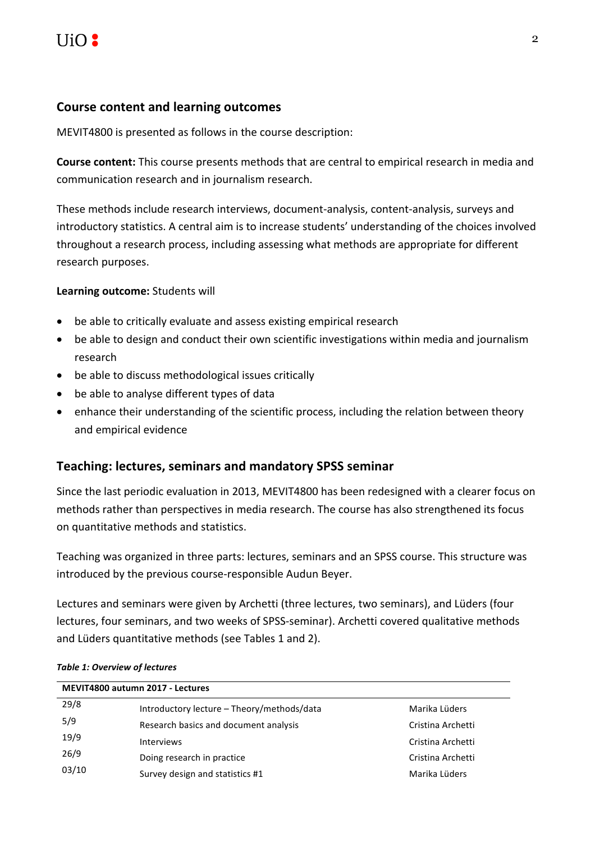

## **Course content and learning outcomes**

MEVIT4800 is presented as follows in the course description:

**Course content:** This course presents methods that are central to empirical research in media and communication research and in journalism research.

These methods include research interviews, document-analysis, content-analysis, surveys and introductory statistics. A central aim is to increase students' understanding of the choices involved throughout a research process, including assessing what methods are appropriate for different research purposes.

### **Learning outcome:** Students will

- be able to critically evaluate and assess existing empirical research
- be able to design and conduct their own scientific investigations within media and journalism research
- be able to discuss methodological issues critically
- be able to analyse different types of data
- enhance their understanding of the scientific process, including the relation between theory and empirical evidence

## Teaching: lectures, seminars and mandatory SPSS seminar

Since the last periodic evaluation in 2013, MEVIT4800 has been redesigned with a clearer focus on methods rather than perspectives in media research. The course has also strengthened its focus on quantitative methods and statistics.

Teaching was organized in three parts: lectures, seminars and an SPSS course. This structure was introduced by the previous course-responsible Audun Beyer.

Lectures and seminars were given by Archetti (three lectures, two seminars), and Lüders (four lectures, four seminars, and two weeks of SPSS-seminar). Archetti covered qualitative methods and Lüders quantitative methods (see Tables 1 and 2).

| MEVIT4800 autumn 2017 - Lectures |                                            |                   |  |  |
|----------------------------------|--------------------------------------------|-------------------|--|--|
| 29/8                             | Introductory lecture - Theory/methods/data | Marika Lüders     |  |  |
| 5/9                              | Research basics and document analysis      | Cristina Archetti |  |  |
| 19/9                             | <b>Interviews</b>                          | Cristina Archetti |  |  |
| 26/9                             | Doing research in practice                 | Cristina Archetti |  |  |
| 03/10                            | Survey design and statistics #1            | Marika Lüders     |  |  |

*Table 1: Overview of lectures*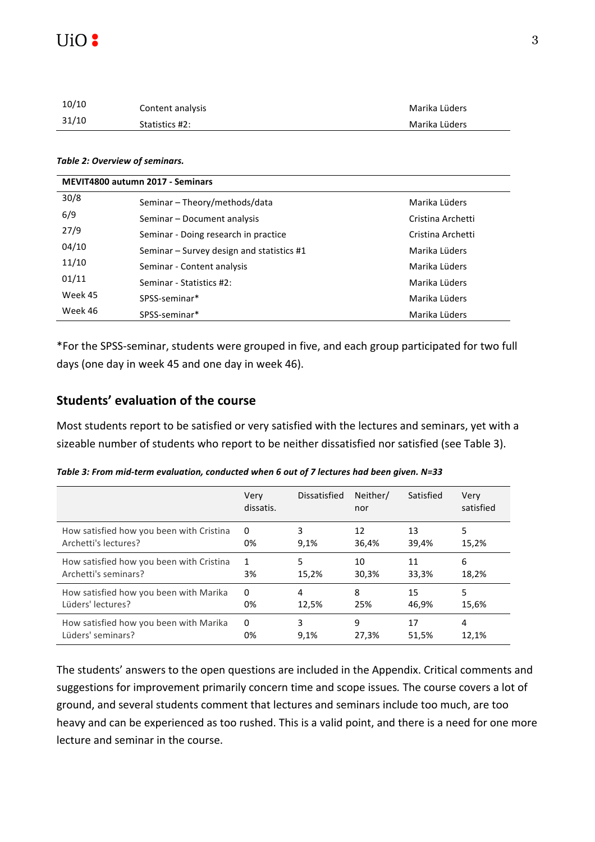

| 10/10 | Content analysis | Marika Lüders |
|-------|------------------|---------------|
| 31/10 | Statistics #2:   | Marika Lüders |

#### **Table 2: Overview of seminars.**

| MEVIT4800 autumn 2017 - Seminars |                                           |                   |  |  |  |
|----------------------------------|-------------------------------------------|-------------------|--|--|--|
| 30/8                             | Seminar - Theory/methods/data             | Marika Lüders     |  |  |  |
| 6/9                              | Seminar - Document analysis               | Cristina Archetti |  |  |  |
| 27/9                             | Seminar - Doing research in practice      | Cristina Archetti |  |  |  |
| 04/10                            | Seminar – Survey design and statistics #1 | Marika Lüders     |  |  |  |
| 11/10                            | Seminar - Content analysis                | Marika Lüders     |  |  |  |
| 01/11                            | Seminar - Statistics #2:                  | Marika Lüders     |  |  |  |
| Week 45                          | SPSS-seminar*                             | Marika Lüders     |  |  |  |
| Week 46                          | SPSS-seminar*                             | Marika Lüders     |  |  |  |

\*For the SPSS-seminar, students were grouped in five, and each group participated for two full days (one day in week 45 and one day in week 46).

## Students' evaluation of the course

Most students report to be satisfied or very satisfied with the lectures and seminars, yet with a sizeable number of students who report to be neither dissatisfied nor satisfied (see Table 3).

|                                          | Very<br>dissatis. | <b>Dissatisfied</b> | Neither/<br>nor | Satisfied | Very<br>satisfied |
|------------------------------------------|-------------------|---------------------|-----------------|-----------|-------------------|
| How satisfied how you been with Cristina | $\Omega$          | 3                   | 12              | 13        | 5                 |
| Archetti's lectures?                     | 0%                | 9,1%                | 36,4%           | 39,4%     | 15,2%             |
| How satisfied how you been with Cristina | 1                 | 5                   | 10              | 11        | 6                 |
| Archetti's seminars?                     | 3%                | 15,2%               | 30,3%           | 33,3%     | 18,2%             |
| How satisfied how you been with Marika   | $\Omega$          | 4                   | 8               | 15        | 5                 |
| Lüders' lectures?                        | 0%                | 12,5%               | 25%             | 46,9%     | 15,6%             |
| How satisfied how you been with Marika   | $\Omega$          | 3                   | 9               | 17        | 4                 |
| Lüders' seminars?                        | 0%                | 9.1%                | 27,3%           | 51,5%     | 12.1%             |

Table 3: From mid-term evaluation, conducted when 6 out of 7 lectures had been given. N=33

The students' answers to the open questions are included in the Appendix. Critical comments and suggestions for improvement primarily concern time and scope issues. The course covers a lot of ground, and several students comment that lectures and seminars include too much, are too heavy and can be experienced as too rushed. This is a valid point, and there is a need for one more lecture and seminar in the course.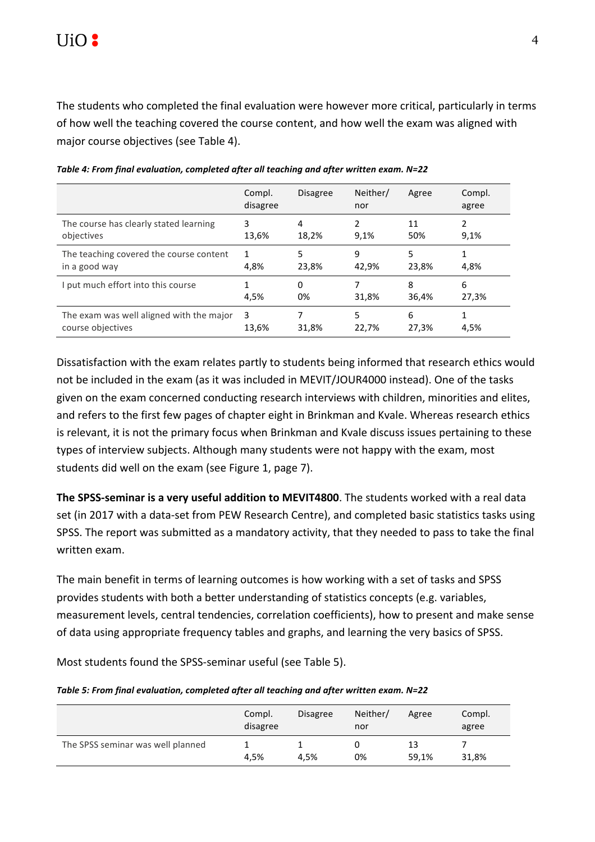The students who completed the final evaluation were however more critical, particularly in terms of how well the teaching covered the course content, and how well the exam was aligned with major course objectives (see Table 4).

|                                          | Compl.<br>disagree | <b>Disagree</b> | Neither/<br>nor | Agree      | Compl.<br>agree |
|------------------------------------------|--------------------|-----------------|-----------------|------------|-----------------|
| The course has clearly stated learning   | 3                  | 4               | 2               | 11         | 2               |
| objectives                               | 13,6%              | 18,2%           | 9,1%            | 50%        | 9,1%            |
| The teaching covered the course content  | 1                  | 5               | 9               | 5          | 4,8%            |
| in a good way                            | 4.8%               | 23,8%           | 42.9%           | 23,8%      |                 |
| I put much effort into this course       | 4,5%               | 0<br>0%         | 31,8%           | 8<br>36,4% | 6<br>27,3%      |
| The exam was well aligned with the major | 3                  | 7               | 5               | 6          | 4,5%            |
| course objectives                        | 13.6%              | 31.8%           | 22.7%           | 27.3%      |                 |

Table 4: From final evaluation, completed after all teaching and after written exam. N=22

Dissatisfaction with the exam relates partly to students being informed that research ethics would not be included in the exam (as it was included in MEVIT/JOUR4000 instead). One of the tasks given on the exam concerned conducting research interviews with children, minorities and elites, and refers to the first few pages of chapter eight in Brinkman and Kvale. Whereas research ethics is relevant, it is not the primary focus when Brinkman and Kvale discuss issues pertaining to these types of interview subjects. Although many students were not happy with the exam, most students did well on the exam (see Figure 1, page 7).

The SPSS-seminar is a very useful addition to MEVIT4800. The students worked with a real data set (in 2017 with a data-set from PEW Research Centre), and completed basic statistics tasks using SPSS. The report was submitted as a mandatory activity, that they needed to pass to take the final written exam.

The main benefit in terms of learning outcomes is how working with a set of tasks and SPSS provides students with both a better understanding of statistics concepts (e.g. variables, measurement levels, central tendencies, correlation coefficients), how to present and make sense of data using appropriate frequency tables and graphs, and learning the very basics of SPSS.

Most students found the SPSS-seminar useful (see Table 5).

### Table 5: From final evaluation, completed after all teaching and after written exam. N=22

|                                   | Compl.<br>disagree | <b>Disagree</b> | Neither/<br>nor | Agree       | Compl.<br>agree |
|-----------------------------------|--------------------|-----------------|-----------------|-------------|-----------------|
| The SPSS seminar was well planned | 4.5%               | 4,5%            | 0%              | 13<br>59.1% | 31,8%           |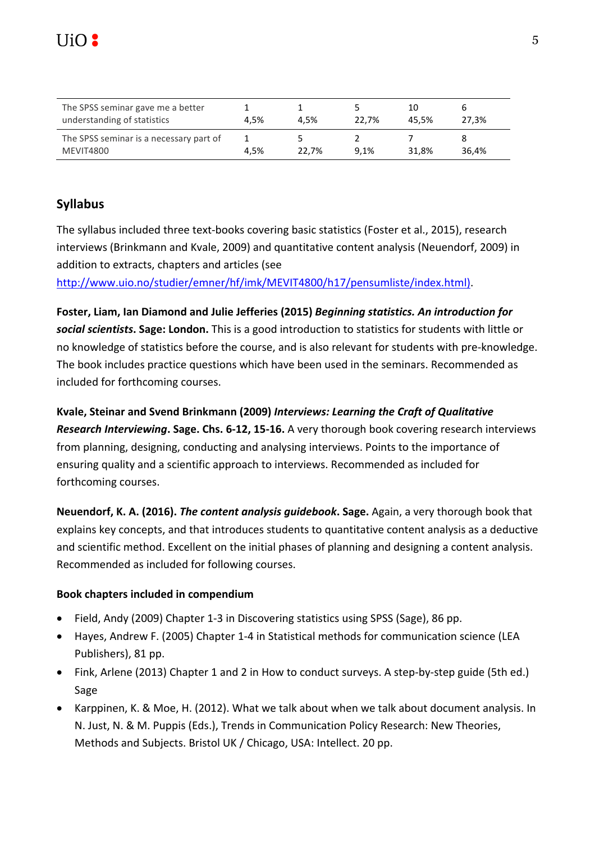

| The SPSS seminar gave me a better<br>understanding of statistics | 4.5% | 4.5%  | 22.7% | 10<br>45.5% | 27.3% |
|------------------------------------------------------------------|------|-------|-------|-------------|-------|
| The SPSS seminar is a necessary part of<br>MEVIT4800             | 4.5% | 22.7% | 9.1%  | 31.8%       | 36.4% |

## **Syllabus**

The syllabus included three text-books covering basic statistics (Foster et al., 2015), research interviews (Brinkmann and Kvale, 2009) and quantitative content analysis (Neuendorf, 2009) in addition to extracts, chapters and articles (see

http://www.uio.no/studier/emner/hf/imk/MEVIT4800/h17/pensumliste/index.html). 

Foster, Liam, Ian Diamond and Julie Jefferies (2015) *Beginning statistics. An introduction for* **social scientists. Sage: London.** This is a good introduction to statistics for students with little or no knowledge of statistics before the course, and is also relevant for students with pre-knowledge. The book includes practice questions which have been used in the seminars. Recommended as included for forthcoming courses.

## Kvale, Steinar and Svend Brinkmann (2009) Interviews: Learning the Craft of Qualitative

**Research Interviewing. Sage. Chs. 6-12, 15-16.** A very thorough book covering research interviews from planning, designing, conducting and analysing interviews. Points to the importance of ensuring quality and a scientific approach to interviews. Recommended as included for forthcoming courses.

Neuendorf, K. A. (2016). *The content analysis guidebook*. Sage. Again, a very thorough book that explains key concepts, and that introduces students to quantitative content analysis as a deductive and scientific method. Excellent on the initial phases of planning and designing a content analysis. Recommended as included for following courses.

## **Book chapters included in compendium**

- Field, Andy (2009) Chapter 1-3 in Discovering statistics using SPSS (Sage), 86 pp.
- Hayes, Andrew F. (2005) Chapter 1-4 in Statistical methods for communication science (LEA Publishers), 81 pp.
- Fink, Arlene (2013) Chapter 1 and 2 in How to conduct surveys. A step-by-step guide (5th ed.) Sage
- Karppinen, K. & Moe, H. (2012). What we talk about when we talk about document analysis. In N. Just, N. & M. Puppis (Eds.), Trends in Communication Policy Research: New Theories, Methods and Subjects. Bristol UK / Chicago, USA: Intellect. 20 pp.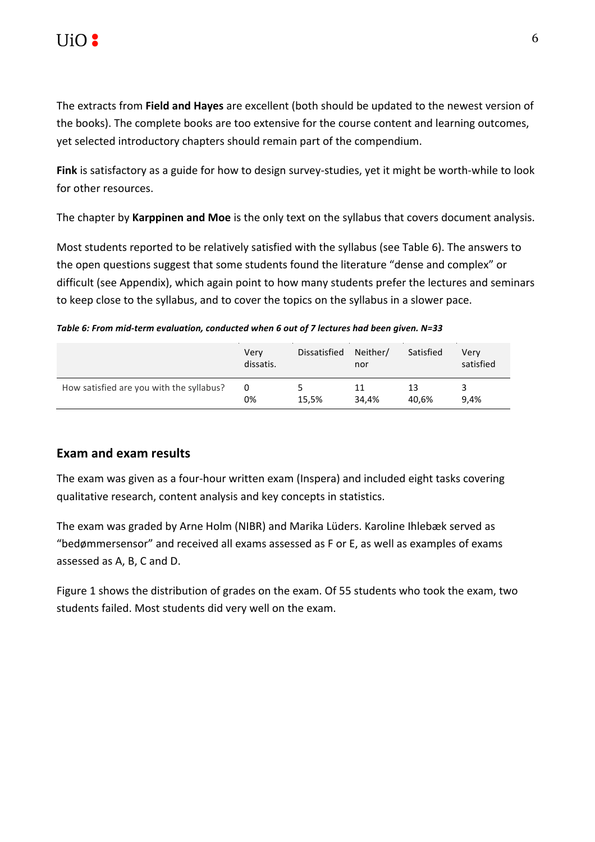

The extracts from **Field and Hayes** are excellent (both should be updated to the newest version of the books). The complete books are too extensive for the course content and learning outcomes, yet selected introductory chapters should remain part of the compendium.

**Fink** is satisfactory as a guide for how to design survey-studies, yet it might be worth-while to look for other resources.

The chapter by **Karppinen and Moe** is the only text on the syllabus that covers document analysis.

Most students reported to be relatively satisfied with the syllabus (see Table 6). The answers to the open questions suggest that some students found the literature "dense and complex" or difficult (see Appendix), which again point to how many students prefer the lectures and seminars to keep close to the syllabus, and to cover the topics on the syllabus in a slower pace.

### Table 6: From mid-term evaluation, conducted when 6 out of 7 lectures had been given. N=33

|                                          | Verv<br>dissatis. | Dissatisfied | Neither/<br>nor | Satisfied   | Verv<br>satisfied |
|------------------------------------------|-------------------|--------------|-----------------|-------------|-------------------|
| How satisfied are you with the syllabus? | 0<br>0%           | 15.5%        | 11<br>34.4%     | 13<br>40.6% | 9.4%              |

## **Exam and exam results**

The exam was given as a four-hour written exam (Inspera) and included eight tasks covering qualitative research, content analysis and key concepts in statistics.

The exam was graded by Arne Holm (NIBR) and Marika Lüders. Karoline Ihlebæk served as "bedømmersensor" and received all exams assessed as F or E, as well as examples of exams assessed as A, B, C and D.

Figure 1 shows the distribution of grades on the exam. Of 55 students who took the exam, two students failed. Most students did very well on the exam.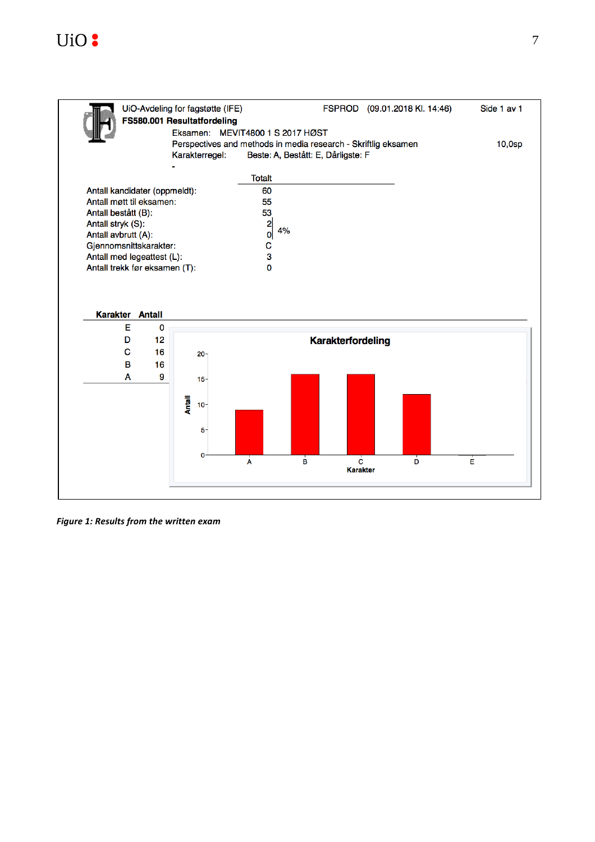## UiO:



*Figure 1: Results from the written exam*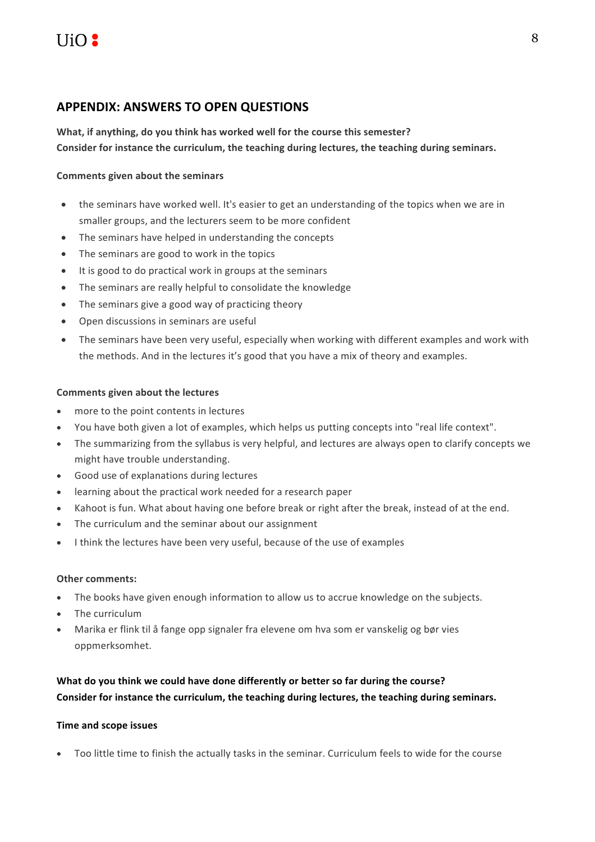## **APPENDIX: ANSWERS TO OPEN QUESTIONS**

What, if anything, do you think has worked well for the course this semester? Consider for instance the curriculum, the teaching during lectures, the teaching during seminars.

### **Comments given about the seminars**

- the seminars have worked well. It's easier to get an understanding of the topics when we are in smaller groups, and the lecturers seem to be more confident
- The seminars have helped in understanding the concepts
- The seminars are good to work in the topics
- $\bullet$  It is good to do practical work in groups at the seminars
- The seminars are really helpful to consolidate the knowledge
- $\bullet$  The seminars give a good way of practicing theory
- Open discussions in seminars are useful
- The seminars have been very useful, especially when working with different examples and work with the methods. And in the lectures it's good that you have a mix of theory and examples.

### **Comments given about the lectures**

- more to the point contents in lectures
- You have both given a lot of examples, which helps us putting concepts into "real life context".
- The summarizing from the syllabus is very helpful, and lectures are always open to clarify concepts we might have trouble understanding.
- Good use of explanations during lectures
- learning about the practical work needed for a research paper
- Kahoot is fun. What about having one before break or right after the break, instead of at the end.
- The curriculum and the seminar about our assignment
- I think the lectures have been very useful, because of the use of examples

### **Other comments:**

- The books have given enough information to allow us to accrue knowledge on the subjects.
- The curriculum
- Marika er flink til å fange opp signaler fra elevene om hva som er vanskelig og bør vies oppmerksomhet.

## What do you think we could have done differently or better so far during the course? Consider for instance the curriculum, the teaching during lectures, the teaching during seminars.

### **Time and scope issues**

• Too little time to finish the actually tasks in the seminar. Curriculum feels to wide for the course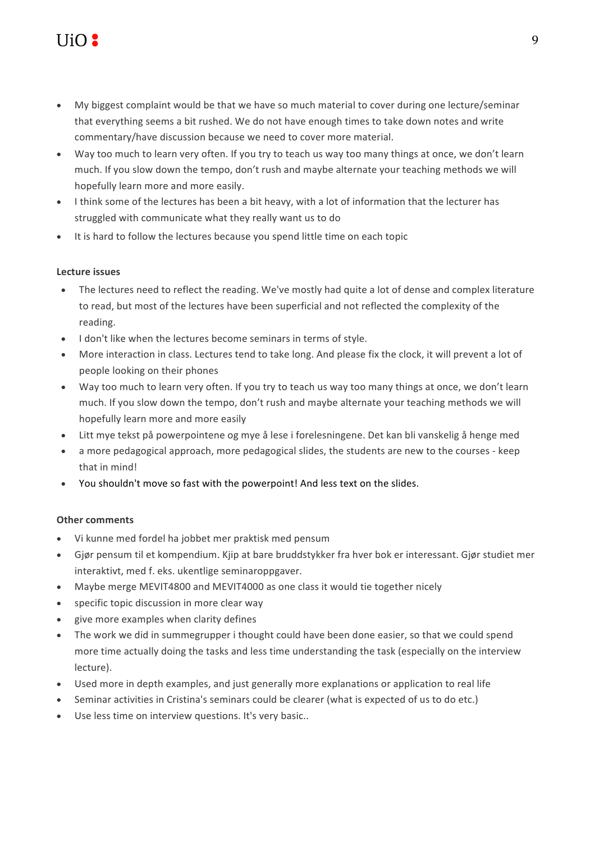

- My biggest complaint would be that we have so much material to cover during one lecture/seminar that everything seems a bit rushed. We do not have enough times to take down notes and write commentary/have discussion because we need to cover more material.
- Way too much to learn very often. If you try to teach us way too many things at once, we don't learn much. If you slow down the tempo, don't rush and maybe alternate your teaching methods we will hopefully learn more and more easily.
- I think some of the lectures has been a bit heavy, with a lot of information that the lecturer has struggled with communicate what they really want us to do
- It is hard to follow the lectures because you spend little time on each topic

### **Lecture issues**

- The lectures need to reflect the reading. We've mostly had quite a lot of dense and complex literature to read, but most of the lectures have been superficial and not reflected the complexity of the reading.
- I don't like when the lectures become seminars in terms of style.
- More interaction in class. Lectures tend to take long. And please fix the clock, it will prevent a lot of people looking on their phones
- Way too much to learn very often. If you try to teach us way too many things at once, we don't learn much. If you slow down the tempo, don't rush and maybe alternate your teaching methods we will hopefully learn more and more easily
- Litt mye tekst på powerpointene og mye å lese i forelesningene. Det kan bli vanskelig å henge med
- a more pedagogical approach, more pedagogical slides, the students are new to the courses keep that in mind!
- You shouldn't move so fast with the powerpoint! And less text on the slides.

### **Other comments**

- Vi kunne med fordel ha jobbet mer praktisk med pensum
- Gjør pensum til et kompendium. Kjip at bare bruddstykker fra hver bok er interessant. Gjør studiet mer interaktivt, med f. eks. ukentlige seminaroppgaver.
- Maybe merge MEVIT4800 and MEVIT4000 as one class it would tie together nicely
- specific topic discussion in more clear way
- give more examples when clarity defines
- The work we did in summegrupper i thought could have been done easier, so that we could spend more time actually doing the tasks and less time understanding the task (especially on the interview lecture).
- Used more in depth examples, and just generally more explanations or application to real life
- Seminar activities in Cristina's seminars could be clearer (what is expected of us to do etc.)
- Use less time on interview questions. It's very basic..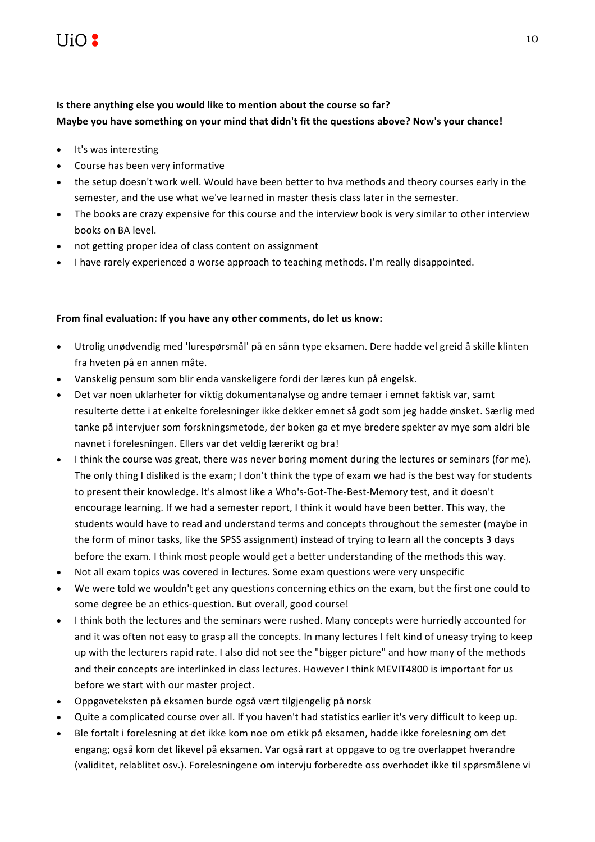

### **Is there anything else you would like to mention about the course so far?** Maybe you have something on your mind that didn't fit the questions above? Now's your chance!

- It's was interesting
- Course has been very informative
- the setup doesn't work well. Would have been better to hva methods and theory courses early in the semester, and the use what we've learned in master thesis class later in the semester.
- The books are crazy expensive for this course and the interview book is very similar to other interview books on BA level.
- not getting proper idea of class content on assignment
- I have rarely experienced a worse approach to teaching methods. I'm really disappointed.

### From final evaluation: If you have any other comments, do let us know:

- Utrolig unødvendig med 'lurespørsmål' på en sånn type eksamen. Dere hadde vel greid å skille klinten fra hveten på en annen måte.
- Vanskelig pensum som blir enda vanskeligere fordi der læres kun på engelsk.
- Det var noen uklarheter for viktig dokumentanalyse og andre temaer i emnet faktisk var, samt resulterte dette i at enkelte forelesninger ikke dekker emnet så godt som jeg hadde ønsket. Særlig med tanke på intervjuer som forskningsmetode, der boken ga et mye bredere spekter av mye som aldri ble navnet i forelesningen. Ellers var det veldig lærerikt og bra!
- I think the course was great, there was never boring moment during the lectures or seminars (for me). The only thing I disliked is the exam; I don't think the type of exam we had is the best way for students to present their knowledge. It's almost like a Who's-Got-The-Best-Memory test, and it doesn't encourage learning. If we had a semester report, I think it would have been better. This way, the students would have to read and understand terms and concepts throughout the semester (maybe in the form of minor tasks, like the SPSS assignment) instead of trying to learn all the concepts 3 days before the exam. I think most people would get a better understanding of the methods this way.
- Not all exam topics was covered in lectures. Some exam questions were very unspecific
- We were told we wouldn't get any questions concerning ethics on the exam, but the first one could to some degree be an ethics-question. But overall, good course!
- I think both the lectures and the seminars were rushed. Many concepts were hurriedly accounted for and it was often not easy to grasp all the concepts. In many lectures I felt kind of uneasy trying to keep up with the lecturers rapid rate. I also did not see the "bigger picture" and how many of the methods and their concepts are interlinked in class lectures. However I think MEVIT4800 is important for us before we start with our master project.
- Oppgaveteksten på eksamen burde også vært tilgjengelig på norsk
- Quite a complicated course over all. If you haven't had statistics earlier it's very difficult to keep up.
- Ble fortalt i forelesning at det ikke kom noe om etikk på eksamen, hadde ikke forelesning om det engang; også kom det likevel på eksamen. Var også rart at oppgave to og tre overlappet hverandre (validitet, relablitet osv.). Forelesningene om intervju forberedte oss overhodet ikke til spørsmålene vi